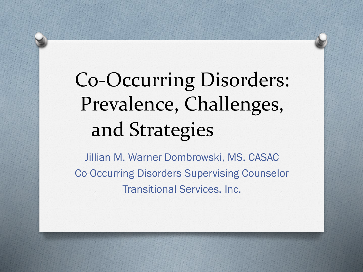# Co-Occurring Disorders: Prevalence, Challenges, and Strategies

Jillian M. Warner-Dombrowski, MS, CASAC Co-Occurring Disorders Supervising Counselor Transitional Services, Inc.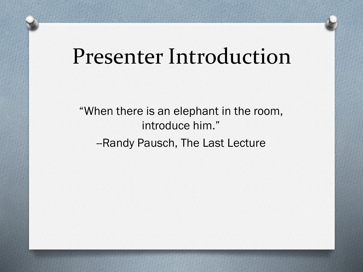### Presenter Introduction

"When there is an elephant in the room, introduce him." -Randy Pausch, The Last Lecture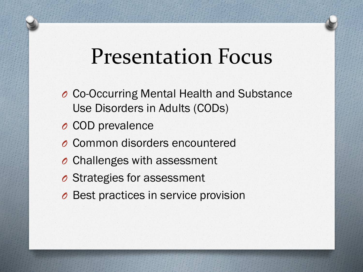### Presentation Focus

- *O* Co-Occurring Mental Health and Substance Use Disorders in Adults (CODs)
- *O* COD prevalence
- *O* Common disorders encountered
- *O* Challenges with assessment
- *O* Strategies for assessment
- *O* Best practices in service provision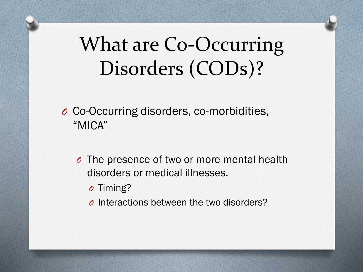### What are Co-Occurring Disorders (CODs)?

*O* Co-Occurring disorders, co-morbidities, "MICA"

- *O* The presence of two or more mental health disorders or medical illnesses.
	- *O* Timing?
	- *O* Interactions between the two disorders?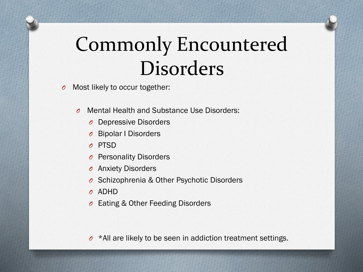### Commonly Encountered Disorders

*O* Most likely to occur together:

- *O* Mental Health and Substance Use Disorders:
	- *O* Depressive Disorders
	- *O* Bipolar I Disorders
	- *O* PTSD
	- **Personality Disorders**
	- *O* Anxiety Disorders
	- *O* Schizophrenia & Other Psychotic Disorders
	- *O* ADHD
	- *O* Eating & Other Feeding Disorders

*O* \*All are likely to be seen in addiction treatment settings.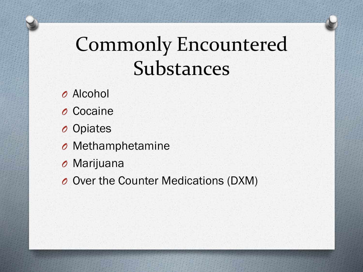### Commonly Encountered Substances

- *O* Alcohol
- *O* Cocaine
- *O* Opiates
- *O* Methamphetamine
- *O* Marijuana
- *O* Over the Counter Medications (DXM)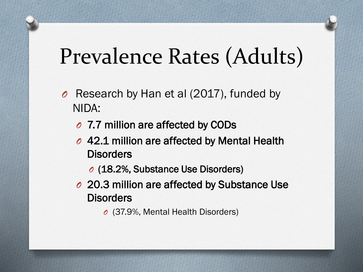# Prevalence Rates (Adults)

- *O* Research by Han et al (2017), funded by NIDA:
	- *O* 7.7 million are affected by CODs
	- *O* 42.1 million are affected by Mental Health **Disorders** 
		- *O* (18.2%, Substance Use Disorders)
	- *O* 20.3 million are affected by Substance Use **Disorders** 
		- *O* (37.9%, Mental Health Disorders)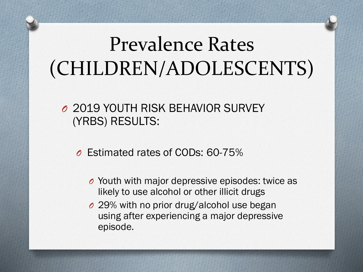### Prevalence Rates (CHILDREN/ADOLESCENTS)

#### *O* 2019 YOUTH RISK BEHAVIOR SURVEY (YRBS) RESULTS:

*O* Estimated rates of CODs: 60-75%

- *O* Youth with major depressive episodes: twice as likely to use alcohol or other illicit drugs
- *O* 29% with no prior drug/alcohol use began using after experiencing a major depressive episode.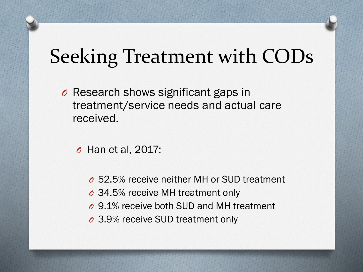### Seeking Treatment with CODs

*O* Research shows significant gaps in treatment/service needs and actual care received.

*O* Han et al, 2017:

- *O* 52.5% receive neither MH or SUD treatment
- *O* 34.5% receive MH treatment only
- *O* 9.1% receive both SUD and MH treatment
- *O* 3.9% receive SUD treatment only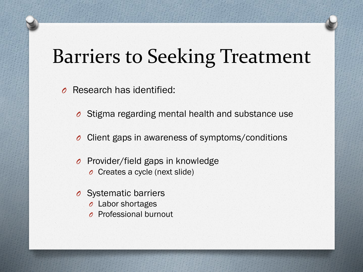### Barriers to Seeking Treatment

- *O* Research has identified:
	- *O* Stigma regarding mental health and substance use
	- *O* Client gaps in awareness of symptoms/conditions
	- *O* Provider/field gaps in knowledge
		- *O* Creates a cycle (next slide)
	- *O* Systematic barriers
		- *O* Labor shortages
		- *O* Professional burnout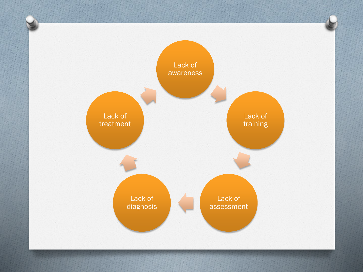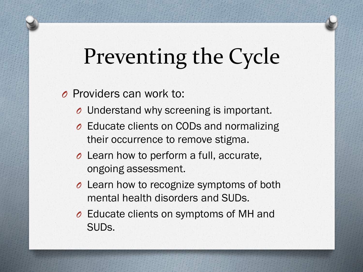# Preventing the Cycle

#### *O* Providers can work to:

- *O* Understand why screening is important.
- *O* Educate clients on CODs and normalizing their occurrence to remove stigma.
- *O* Learn how to perform a full, accurate, ongoing assessment.
- *O* Learn how to recognize symptoms of both mental health disorders and SUDs.
- *O* Educate clients on symptoms of MH and SUDs.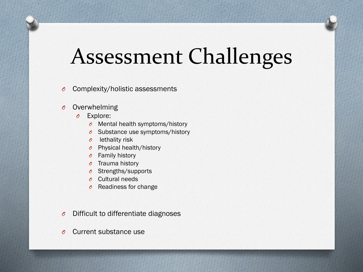## Assessment Challenges

- *O* Complexity/holistic assessments
- *O* Overwhelming
	- *O* Explore:
		- *O* Mental health symptoms/history
		- *O* Substance use symptoms/history
		- *O* lethality risk
		- *O* Physical health/history
		- *O* Family history
		- *O* Trauma history
		- *O* Strengths/supports
		- *O* Cultural needs
		- *O* Readiness for change
- *O* Difficult to differentiate diagnoses
- *O* Current substance use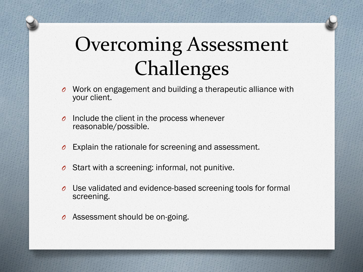### Overcoming Assessment Challenges

- *O* Work on engagement and building a therapeutic alliance with your client.
- *O* Include the client in the process whenever reasonable/possible.
- *O* Explain the rationale for screening and assessment.
- *O* Start with a screening: informal, not punitive.
- *O* Use validated and evidence-based screening tools for formal screening.
- *O* Assessment should be on-going.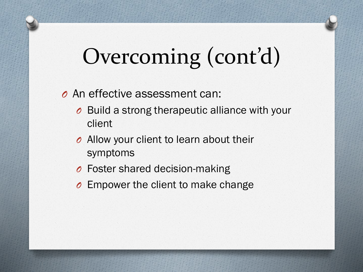# Overcoming (cont'd)

#### *O* An effective assessment can:

- *O* Build a strong therapeutic alliance with your client
- *O* Allow your client to learn about their symptoms
- *O* Foster shared decision-making
- *O* Empower the client to make change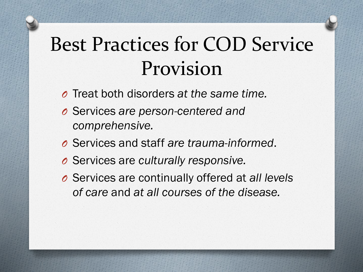### Best Practices for COD Service Provision

- *O* Treat both disorders *at the same time.*
- *O* Services *are person-centered and comprehensive.*
- *O* Services and staff *are trauma-informed*.
- *O* Services are *culturally responsive.*
- *O* Services are continually offered at *all levels of care* and *at all courses of the disease.*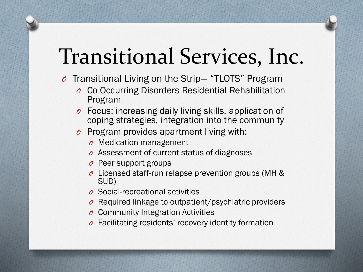# Transitional Services, Inc.

- *O* Transitional Living on the Strip— "TLOTS" Program
	- *O* Co-Occurring Disorders Residential Rehabilitation Program
	- *O* Focus: increasing daily living skills, application of coping strategies, integration into the community
	- *O* Program provides apartment living with:
		- *O* Medication management
		- *O* Assessment of current status of diagnoses
		- *O* Peer support groups
		- *O* Licensed staff-run relapse prevention groups (MH & SUD)
		- *O* Social-recreational activities
		- *O* Required linkage to outpatient/psychiatric providers
		- *O* Community Integration Activities
		- *O* Facilitating residents' recovery identity formation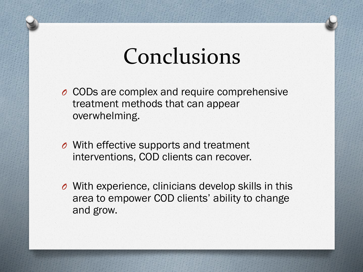### Conclusions

- *O* CODs are complex and require comprehensive treatment methods that can appear overwhelming.
- *O* With effective supports and treatment interventions, COD clients can recover.
- *O* With experience, clinicians develop skills in this area to empower COD clients' ability to change and grow.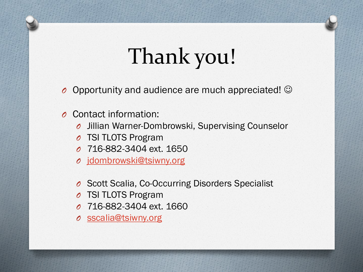# Thank you!

- *O* Opportunity and audience are much appreciated! ☺
- *O* Contact information:
	- *O* Jillian Warner-Dombrowski, Supervising Counselor
	- *O* TSI TLOTS Program
	- *O* 716-882-3404 ext. 1650
	- *O* [jdombrowski@tsiwny.org](mailto:jdombrowski@tsiwny.org)
	- *O* Scott Scalia, Co-Occurring Disorders Specialist
	- *O* TSI TLOTS Program
	- *O* 716-882-3404 ext. 1660
	- *O* [sscalia@tsiwny.org](mailto:sscalia@tsiwny.org)